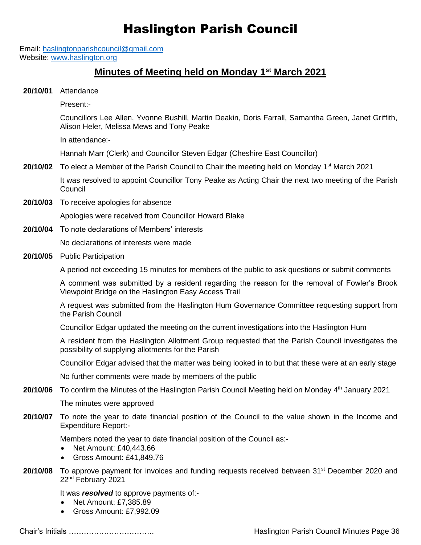## Haslington Parish Council

Email: [haslingtonparishcouncil@gmail.com](mailto:haslingtonparishcouncil@gmail.com) Website: [www.haslington.org](http://www.haslington.org/)

## **Minutes of Meeting held on Monday 1 st March 2021**

**20/10/01** Attendance

Present:-

Councillors Lee Allen, Yvonne Bushill, Martin Deakin, Doris Farrall, Samantha Green, Janet Griffith, Alison Heler, Melissa Mews and Tony Peake

In attendance:-

Hannah Marr (Clerk) and Councillor Steven Edgar (Cheshire East Councillor)

**20/10/02** To elect a Member of the Parish Council to Chair the meeting held on Monday 1<sup>st</sup> March 2021

It was resolved to appoint Councillor Tony Peake as Acting Chair the next two meeting of the Parish **Council** 

**20/10/03** To receive apologies for absence

Apologies were received from Councillor Howard Blake

**20/10/04** To note declarations of Members' interests

No declarations of interests were made

**20/10/05** Public Participation

A period not exceeding 15 minutes for members of the public to ask questions or submit comments

A comment was submitted by a resident regarding the reason for the removal of Fowler's Brook Viewpoint Bridge on the Haslington Easy Access Trail

A request was submitted from the Haslington Hum Governance Committee requesting support from the Parish Council

Councillor Edgar updated the meeting on the current investigations into the Haslington Hum

A resident from the Haslington Allotment Group requested that the Parish Council investigates the possibility of supplying allotments for the Parish

Councillor Edgar advised that the matter was being looked in to but that these were at an early stage

No further comments were made by members of the public

20/10/06 To confirm the Minutes of the Haslington Parish Council Meeting held on Monday 4<sup>th</sup> January 2021

The minutes were approved

**20/10/07** To note the year to date financial position of the Council to the value shown in the Income and Expenditure Report:-

Members noted the year to date financial position of the Council as:-

- Net Amount: £40,443.66
- Gross Amount: £41,849.76
- **20/10/08** To approve payment for invoices and funding requests received between 31<sup>st</sup> December 2020 and 22nd February 2021

It was *resolved* to approve payments of:-

- Net Amount: £7,385.89
- Gross Amount: £7,992.09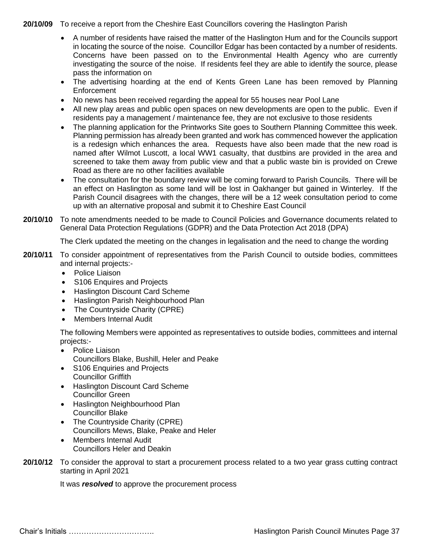**20/10/09** To receive a report from the Cheshire East Councillors covering the Haslington Parish

- A number of residents have raised the matter of the Haslington Hum and for the Councils support in locating the source of the noise. Councillor Edgar has been contacted by a number of residents. Concerns have been passed on to the Environmental Health Agency who are currently investigating the source of the noise. If residents feel they are able to identify the source, please pass the information on
- The advertising hoarding at the end of Kents Green Lane has been removed by Planning **Enforcement**
- No news has been received regarding the appeal for 55 houses near Pool Lane
- All new play areas and public open spaces on new developments are open to the public. Even if residents pay a management / maintenance fee, they are not exclusive to those residents
- The planning application for the Printworks Site goes to Southern Planning Committee this week. Planning permission has already been granted and work has commenced however the application is a redesign which enhances the area. Requests have also been made that the new road is named after Wilmot Luscott, a local WW1 casualty, that dustbins are provided in the area and screened to take them away from public view and that a public waste bin is provided on Crewe Road as there are no other facilities available
- The consultation for the boundary review will be coming forward to Parish Councils. There will be an effect on Haslington as some land will be lost in Oakhanger but gained in Winterley. If the Parish Council disagrees with the changes, there will be a 12 week consultation period to come up with an alternative proposal and submit it to Cheshire East Council
- **20/10/10** To note amendments needed to be made to Council Policies and Governance documents related to General Data Protection Regulations (GDPR) and the Data Protection Act 2018 (DPA)

The Clerk updated the meeting on the changes in legalisation and the need to change the wording

- **20/10/11** To consider appointment of representatives from the Parish Council to outside bodies, committees and internal projects:-
	- Police Liaison
	- S106 Enquires and Projects
	- Haslington Discount Card Scheme
	- Haslington Parish Neighbourhood Plan
	- The Countryside Charity (CPRE)
	- Members Internal Audit

The following Members were appointed as representatives to outside bodies, committees and internal projects:-

- Police Liaison
	- Councillors Blake, Bushill, Heler and Peake
- S106 Enquiries and Projects Councillor Griffith
- Haslington Discount Card Scheme Councillor Green
- Haslington Neighbourhood Plan Councillor Blake
- The Countryside Charity (CPRE) Councillors Mews, Blake, Peake and Heler
- Members Internal Audit Councillors Heler and Deakin
- **20/10/12** To consider the approval to start a procurement process related to a two year grass cutting contract starting in April 2021

It was *resolved* to approve the procurement process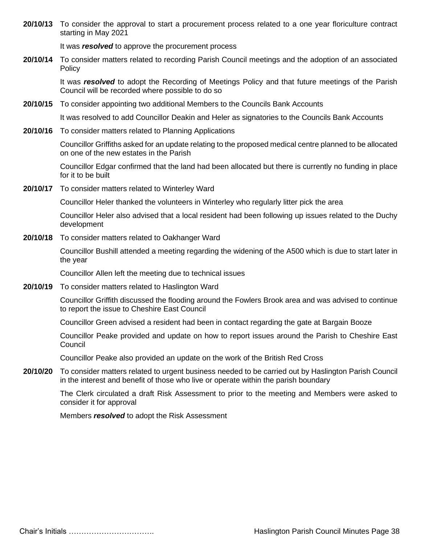**20/10/13** To consider the approval to start a procurement process related to a one year floriculture contract starting in May 2021

It was *resolved* to approve the procurement process

**20/10/14** To consider matters related to recording Parish Council meetings and the adoption of an associated **Policy** 

It was *resolved* to adopt the Recording of Meetings Policy and that future meetings of the Parish Council will be recorded where possible to do so

**20/10/15** To consider appointing two additional Members to the Councils Bank Accounts

It was resolved to add Councillor Deakin and Heler as signatories to the Councils Bank Accounts

**20/10/16** To consider matters related to Planning Applications

Councillor Griffiths asked for an update relating to the proposed medical centre planned to be allocated on one of the new estates in the Parish

Councillor Edgar confirmed that the land had been allocated but there is currently no funding in place for it to be built

**20/10/17** To consider matters related to Winterley Ward

Councillor Heler thanked the volunteers in Winterley who regularly litter pick the area

Councillor Heler also advised that a local resident had been following up issues related to the Duchy development

**20/10/18** To consider matters related to Oakhanger Ward

Councillor Bushill attended a meeting regarding the widening of the A500 which is due to start later in the year

Councillor Allen left the meeting due to technical issues

**20/10/19** To consider matters related to Haslington Ward

Councillor Griffith discussed the flooding around the Fowlers Brook area and was advised to continue to report the issue to Cheshire East Council

Councillor Green advised a resident had been in contact regarding the gate at Bargain Booze

Councillor Peake provided and update on how to report issues around the Parish to Cheshire East **Council** 

Councillor Peake also provided an update on the work of the British Red Cross

**20/10/20** To consider matters related to urgent business needed to be carried out by Haslington Parish Council in the interest and benefit of those who live or operate within the parish boundary

The Clerk circulated a draft Risk Assessment to prior to the meeting and Members were asked to consider it for approval

Members *resolved* to adopt the Risk Assessment